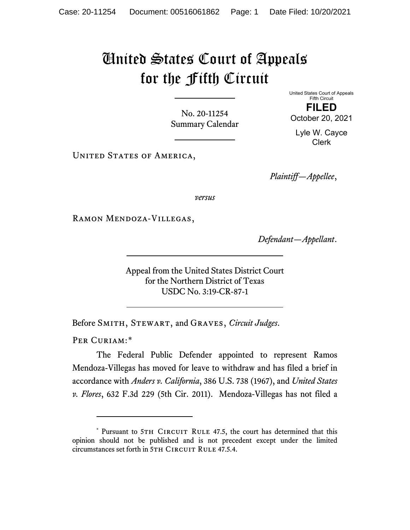## United States Court of Appeals for the Fifth Circuit

No. 20-11254 Summary Calendar United States Court of Appeals Fifth Circuit **FILED**

October 20, 2021

Lyle W. Cayce Clerk

UNITED STATES OF AMERICA,

*Plaintiff—Appellee*,

*versus*

Ramon Mendoza-Villegas,

*Defendant—Appellant*.

Appeal from the United States District Court for the Northern District of Texas USDC No. 3:19-CR-87-1

Before Smith, Stewart, and Graves, *Circuit Judges*.

PER CURIAM:[\\*](#page-0-0)

The Federal Public Defender appointed to represent Ramos Mendoza-Villegas has moved for leave to withdraw and has filed a brief in accordance with *Anders v. California*, 386 U.S. 738 (1967), and *United States v. Flores*, 632 F.3d 229 (5th Cir. 2011). Mendoza-Villegas has not filed a

<span id="page-0-0"></span><sup>\*</sup> Pursuant to 5TH CIRCUIT RULE 47.5, the court has determined that this opinion should not be published and is not precedent except under the limited circumstances set forth in 5TH CIRCUIT RULE 47.5.4.